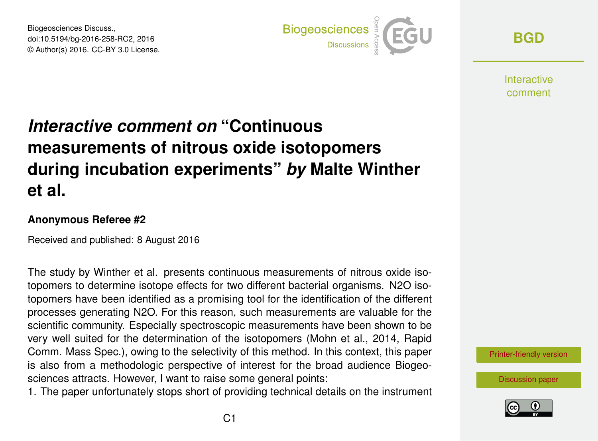Biogeosciences Discuss., doi:10.5194/bg-2016-258-RC2, 2016 © Author(s) 2016. CC-BY 3.0 License.



**[BGD](http://www.biogeosciences-discuss.net/)**

Interactive comment

# *Interactive comment on* **"Continuous measurements of nitrous oxide isotopomers during incubation experiments"** *by* **Malte Winther et al.**

#### **Anonymous Referee #2**

Received and published: 8 August 2016

The study by Winther et al. presents continuous measurements of nitrous oxide isotopomers to determine isotope effects for two different bacterial organisms. N2O isotopomers have been identified as a promising tool for the identification of the different processes generating N2O. For this reason, such measurements are valuable for the scientific community. Especially spectroscopic measurements have been shown to be very well suited for the determination of the isotopomers (Mohn et al., 2014, Rapid Comm. Mass Spec.), owing to the selectivity of this method. In this context, this paper is also from a methodologic perspective of interest for the broad audience Biogeosciences attracts. However, I want to raise some general points:

1. The paper unfortunately stops short of providing technical details on the instrument



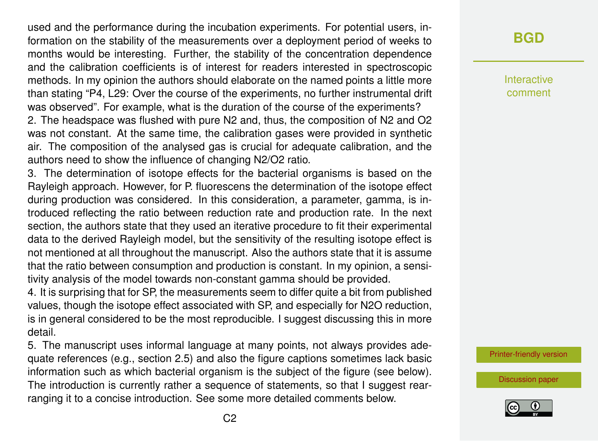used and the performance during the incubation experiments. For potential users, information on the stability of the measurements over a deployment period of weeks to months would be interesting. Further, the stability of the concentration dependence and the calibration coefficients is of interest for readers interested in spectroscopic methods. In my opinion the authors should elaborate on the named points a little more than stating "P4, L29: Over the course of the experiments, no further instrumental drift was observed". For example, what is the duration of the course of the experiments?

2. The headspace was flushed with pure N2 and, thus, the composition of N2 and O2 was not constant. At the same time, the calibration gases were provided in synthetic air. The composition of the analysed gas is crucial for adequate calibration, and the authors need to show the influence of changing N2/O2 ratio.

3. The determination of isotope effects for the bacterial organisms is based on the Rayleigh approach. However, for P. fluorescens the determination of the isotope effect during production was considered. In this consideration, a parameter, gamma, is introduced reflecting the ratio between reduction rate and production rate. In the next section, the authors state that they used an iterative procedure to fit their experimental data to the derived Rayleigh model, but the sensitivity of the resulting isotope effect is not mentioned at all throughout the manuscript. Also the authors state that it is assume that the ratio between consumption and production is constant. In my opinion, a sensitivity analysis of the model towards non-constant gamma should be provided.

4. It is surprising that for SP, the measurements seem to differ quite a bit from published values, though the isotope effect associated with SP, and especially for N2O reduction, is in general considered to be the most reproducible. I suggest discussing this in more detail.

5. The manuscript uses informal language at many points, not always provides adequate references (e.g., section 2.5) and also the figure captions sometimes lack basic information such as which bacterial organism is the subject of the figure (see below). The introduction is currently rather a sequence of statements, so that I suggest rearranging it to a concise introduction. See some more detailed comments below.

## **[BGD](http://www.biogeosciences-discuss.net/)**

Interactive comment

[Printer-friendly version](http://www.biogeosciences-discuss.net/bg-2016-258/bg-2016-258-RC2-print.pdf)

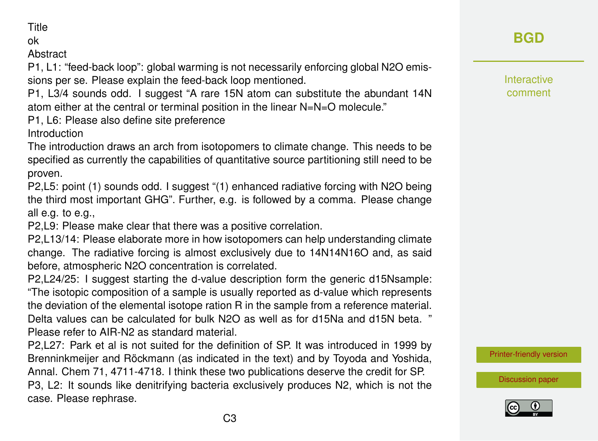**Title** 

ok

#### Abstract

P1, L1: "feed-back loop": global warming is not necessarily enforcing global N2O emissions per se. Please explain the feed-back loop mentioned.

P1, L3/4 sounds odd. I suggest "A rare 15N atom can substitute the abundant 14N atom either at the central or terminal position in the linear N=N=O molecule."

P1, L6: Please also define site preference

Introduction

The introduction draws an arch from isotopomers to climate change. This needs to be specified as currently the capabilities of quantitative source partitioning still need to be proven.

P2,L5: point (1) sounds odd. I suggest "(1) enhanced radiative forcing with N2O being the third most important GHG". Further, e.g. is followed by a comma. Please change all e.g. to e.g.,

P2,L9: Please make clear that there was a positive correlation.

P2,L13/14: Please elaborate more in how isotopomers can help understanding climate change. The radiative forcing is almost exclusively due to 14N14N16O and, as said before, atmospheric N2O concentration is correlated.

P2,L24/25: I suggest starting the d-value description form the generic d15Nsample: "The isotopic composition of a sample is usually reported as d-value which represents the deviation of the elemental isotope ration R in the sample from a reference material. Delta values can be calculated for bulk N2O as well as for d15Na and d15N beta. " Please refer to AIR-N2 as standard material.

P2,L27: Park et al is not suited for the definition of SP. It was introduced in 1999 by Brenninkmeijer and Röckmann (as indicated in the text) and by Toyoda and Yoshida, Annal. Chem 71, 4711-4718. I think these two publications deserve the credit for SP. P3, L2: It sounds like denitrifying bacteria exclusively produces N2, which is not the case. Please rephrase.

# **[BGD](http://www.biogeosciences-discuss.net/)**

Interactive comment

[Printer-friendly version](http://www.biogeosciences-discuss.net/bg-2016-258/bg-2016-258-RC2-print.pdf)

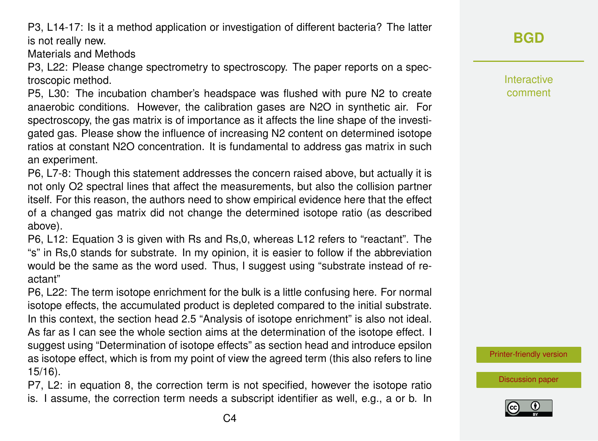P3, L14-17: Is it a method application or investigation of different bacteria? The latter is not really new.

Materials and Methods

P3, L22: Please change spectrometry to spectroscopy. The paper reports on a spectroscopic method.

P5, L30: The incubation chamber's headspace was flushed with pure N2 to create anaerobic conditions. However, the calibration gases are N2O in synthetic air. For spectroscopy, the gas matrix is of importance as it affects the line shape of the investigated gas. Please show the influence of increasing N2 content on determined isotope ratios at constant N2O concentration. It is fundamental to address gas matrix in such an experiment.

P6, L7-8: Though this statement addresses the concern raised above, but actually it is not only O2 spectral lines that affect the measurements, but also the collision partner itself. For this reason, the authors need to show empirical evidence here that the effect of a changed gas matrix did not change the determined isotope ratio (as described above).

P6, L12: Equation 3 is given with Rs and Rs,0, whereas L12 refers to "reactant". The "s" in Rs,0 stands for substrate. In my opinion, it is easier to follow if the abbreviation would be the same as the word used. Thus, I suggest using "substrate instead of reactant"

P6, L22: The term isotope enrichment for the bulk is a little confusing here. For normal isotope effects, the accumulated product is depleted compared to the initial substrate. In this context, the section head 2.5 "Analysis of isotope enrichment" is also not ideal. As far as I can see the whole section aims at the determination of the isotope effect. I suggest using "Determination of isotope effects" as section head and introduce epsilon as isotope effect, which is from my point of view the agreed term (this also refers to line 15/16).

P7, L2: in equation 8, the correction term is not specified, however the isotope ratio is. I assume, the correction term needs a subscript identifier as well, e.g., a or b. In

# **[BGD](http://www.biogeosciences-discuss.net/)**

Interactive comment

[Printer-friendly version](http://www.biogeosciences-discuss.net/bg-2016-258/bg-2016-258-RC2-print.pdf)

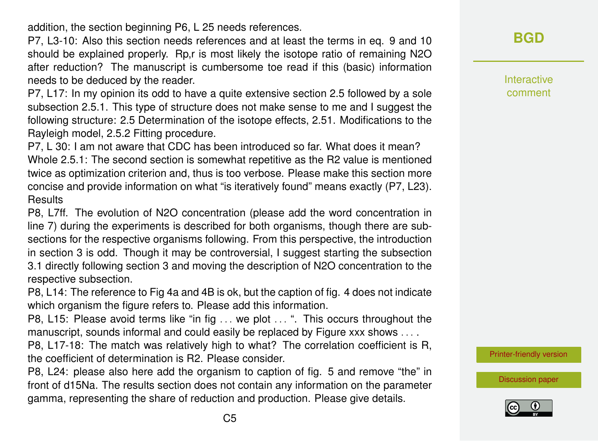addition, the section beginning P6, L 25 needs references.

P7, L3-10: Also this section needs references and at least the terms in eq. 9 and 10 should be explained properly. Rp,r is most likely the isotope ratio of remaining N2O after reduction? The manuscript is cumbersome toe read if this (basic) information needs to be deduced by the reader.

P7, L17: In my opinion its odd to have a quite extensive section 2.5 followed by a sole subsection 2.5.1. This type of structure does not make sense to me and I suggest the following structure: 2.5 Determination of the isotope effects, 2.51. Modifications to the Rayleigh model, 2.5.2 Fitting procedure.

P7, L 30: I am not aware that CDC has been introduced so far. What does it mean? Whole 2.5.1: The second section is somewhat repetitive as the R2 value is mentioned twice as optimization criterion and, thus is too verbose. Please make this section more concise and provide information on what "is iteratively found" means exactly (P7, L23). **Results** 

P8, L7ff. The evolution of N2O concentration (please add the word concentration in line 7) during the experiments is described for both organisms, though there are subsections for the respective organisms following. From this perspective, the introduction in section 3 is odd. Though it may be controversial, I suggest starting the subsection 3.1 directly following section 3 and moving the description of N2O concentration to the respective subsection.

P8, L14: The reference to Fig 4a and 4B is ok, but the caption of fig. 4 does not indicate which organism the figure refers to. Please add this information.

P8, L15: Please avoid terms like "in fig ... we plot ... ". This occurs throughout the manuscript, sounds informal and could easily be replaced by Figure xxx shows ....

P8, L17-18: The match was relatively high to what? The correlation coefficient is R, the coefficient of determination is R2. Please consider.

P8, L24: please also here add the organism to caption of fig. 5 and remove "the" in front of d15Na. The results section does not contain any information on the parameter gamma, representing the share of reduction and production. Please give details.

### **[BGD](http://www.biogeosciences-discuss.net/)**

Interactive comment

[Printer-friendly version](http://www.biogeosciences-discuss.net/bg-2016-258/bg-2016-258-RC2-print.pdf)